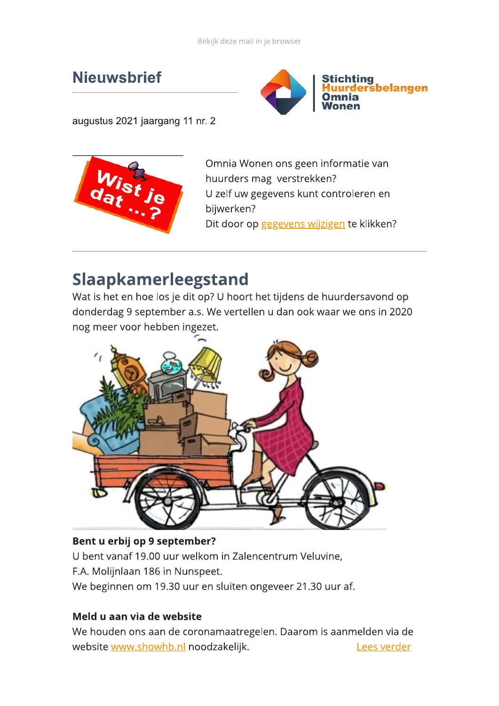# **Nieuwsbrief**



augustus 2021 jaargang 11 nr. 2



Omnia Wonen ons geen informatie van huurders mag verstrekken? U zelf uw gegevens kunt controleren en bijwerken? Dit door op gegevens wijzigen te klikken?

# Slaapkamerleegstand

Wat is het en hoe los je dit op? U hoort het tijdens de huurdersavond op donderdag 9 september a.s. We vertellen u dan ook waar we ons in 2020 nog meer voor hebben ingezet.



#### Bent u erbij op 9 september?

U bent vanaf 19.00 uur welkom in Zalencentrum Veluvine, F.A. Molijnlaan 186 in Nunspeet.

We beginnen om 19.30 uur en sluiten ongeveer 21.30 uur af.

#### Meld u aan via de website

We houden ons aan de coronamaatregelen. Daarom is aanmelden via de website www.showhb.nl noodzakelijk. Lees verder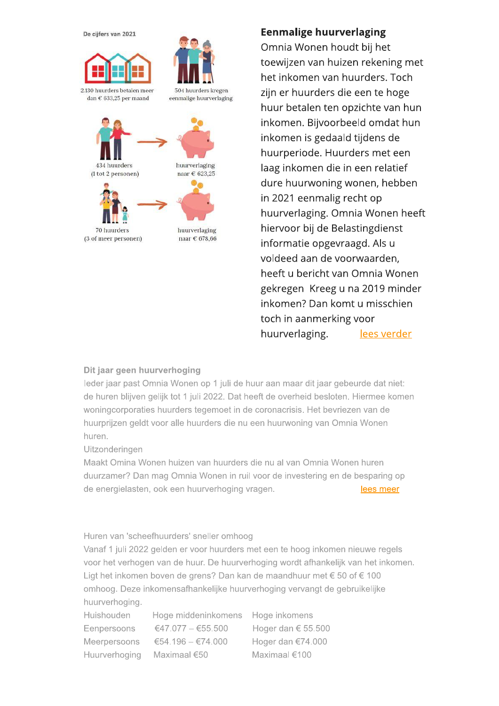

### Eenmalige nuurverlaging

Omnia Wonen houdt bij het toewijzen van huizen rekening met het inkomen van huurders. Toch zijn er huurders die een te hoge **Eenmalige huurverlaging**<br>
Omnia Wonen houdt bij het<br>
toewijzen van huizen rekening met<br>
het inkomen van huurders. Toch<br>
zijn er huurders die een te hoge<br>
huur betalen ten opzichte van hun<br>
inkomen. Bijvoorbeeld omdat hun<br> inkomen. Bijvoorbeeld omdat hun inkomen is gedaald tijdens de toewijzen van huizen rekening m<br>
het inkomen van huurders. Toch<br>
zijn er huurders die een te hoge<br>
huur betalen ten opzichte van hui<br>
inkomen. Bijvoorbeeld omdat hu<br>
inkomen is gedaald tijdens de<br>
huurperiode. Huurders met laag inkomen die in een relatief dure huurwoning wonen, hebben huur betalen ten opzichte van hun<br>inkomen. Bijvoorbeeld omdat hun<br>inkomen is gedaald tijdens de<br>huurperiode. Huurders met een<br>laag inkomen die in een relatief<br>dure huurwoning wonen, hebben<br>in 2021 eenmalig recht op<br>huurver huurverlaging. Omnia Wonen heeft hiervoor bij de Belastingdienst huurperiode. Huurders met een<br>laag inkomen die in een relatief<br>dure huurwoning wonen, hebben<br>in 2021 eenmalig recht op<br>huurverlaging. Omnia Wonen hee<br>hiervoor bij de Belastingdienst<br>informatie opgevraagd. Als u<br>voldeed aan voldeed aan de voorwaarden, heeft u bericht van Omnia Wonen gekregen Kreeg u na 2019 minder inkomen? Dan komt u misschien toch in aanmerking voor huurverlaging. lees verder

#### Dit jaar geen huurverhoging

leder jaar past Omnia Wonen op 1 juli de huur aan maar dit jaar gebeurde dat niet: de huren blijven gelijk tot 1 juli 2022. Dat heeft de overheid besloten. Hiermee komen woningcorporaties huurders tegemoet in de coronacrisis. Het bevriezen van de huurprijzen geldt voor alle huurders die nu een huurwoning van Omnia Wonen huren.

Uitzonderingen

Maakt Omina Wonen huizen van huurders die nu al van Omnia Wonen huren duurzamer? Dan mag Omnia Wonen in ruil voor de investering en de besparing op de energielasten, ook een huurverhoging vragen. The same of the same of the same of the same of the same of the same of the same of the same of the same of the same of the same of the same of the same of the same of the sa

#### Huren van 'scheefhuurders' sneller omhoog

Vanaf 1 juli 2022 gelden er voor huurders met een te hoog inkomen nieuwe regels voor het verhogen van de huur. De huurverhoging wordt afhankelijk van het inkomen. Ligt het inkomen boven de grens? Dan kan de maandhuur met  $\epsilon$  50 of  $\epsilon$  100 omhoog. Deze inkomensafhankelijke huurverhoging vervangt de gebruikelijke huurverhoging.

Huishouden Hoge middeninkomens Hoge inkomens Eenpersoons  $\epsilon$ 47.077 –  $\epsilon$ 55.500 Hoger dan  $\epsilon$  55.500 Meerpersoons  $\epsilon$ 54.196 - $\epsilon$ 74.000 Hoger dan  $\epsilon$ 74.000 Huurverhoging Maximaal  $\epsilon$ 50 Maximaal  $\epsilon$ 100